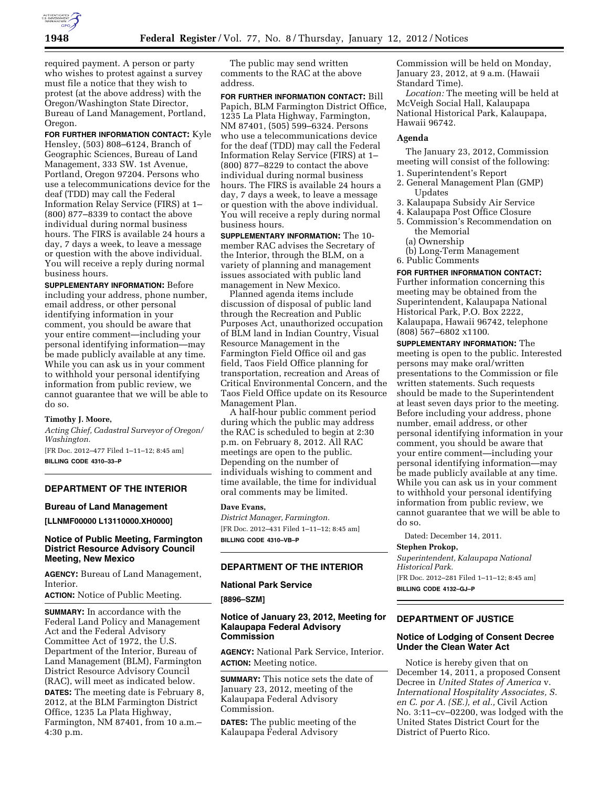

required payment. A person or party who wishes to protest against a survey must file a notice that they wish to protest (at the above address) with the Oregon/Washington State Director, Bureau of Land Management, Portland, Oregon.

**FOR FURTHER INFORMATION CONTACT:** Kyle Hensley, (503) 808–6124, Branch of Geographic Sciences, Bureau of Land Management, 333 SW. 1st Avenue, Portland, Oregon 97204. Persons who use a telecommunications device for the deaf (TDD) may call the Federal Information Relay Service (FIRS) at 1– (800) 877–8339 to contact the above individual during normal business hours. The FIRS is available 24 hours a day, 7 days a week, to leave a message or question with the above individual. You will receive a reply during normal business hours.

**SUPPLEMENTARY INFORMATION:** Before including your address, phone number, email address, or other personal identifying information in your comment, you should be aware that your entire comment—including your personal identifying information—may be made publicly available at any time. While you can ask us in your comment to withhold your personal identifying information from public review, we cannot guarantee that we will be able to do so.

## **Timothy J. Moore,**

*Acting Chief, Cadastral Surveyor of Oregon/ Washington.* 

[FR Doc. 2012–477 Filed 1–11–12; 8:45 am] **BILLING CODE 4310–33–P** 

# **DEPARTMENT OF THE INTERIOR**

#### **Bureau of Land Management**

**[LLNMF00000 L13110000.XH0000]** 

### **Notice of Public Meeting, Farmington District Resource Advisory Council Meeting, New Mexico**

**AGENCY:** Bureau of Land Management, Interior.

**ACTION:** Notice of Public Meeting.

**SUMMARY:** In accordance with the Federal Land Policy and Management Act and the Federal Advisory Committee Act of 1972, the U.S. Department of the Interior, Bureau of Land Management (BLM), Farmington District Resource Advisory Council (RAC), will meet as indicated below. **DATES:** The meeting date is February 8, 2012, at the BLM Farmington District Office, 1235 La Plata Highway, Farmington, NM 87401, from 10 a.m.– 4:30 p.m.

The public may send written comments to the RAC at the above address.

**FOR FURTHER INFORMATION CONTACT:** Bill Papich, BLM Farmington District Office, 1235 La Plata Highway, Farmington, NM 87401, (505) 599–6324. Persons who use a telecommunications device for the deaf (TDD) may call the Federal Information Relay Service (FIRS) at 1– (800) 877–8229 to contact the above individual during normal business hours. The FIRS is available 24 hours a day, 7 days a week, to leave a message or question with the above individual. You will receive a reply during normal business hours.

**SUPPLEMENTARY INFORMATION:** The 10 member RAC advises the Secretary of the Interior, through the BLM, on a variety of planning and management issues associated with public land management in New Mexico.

Planned agenda items include discussion of disposal of public land through the Recreation and Public Purposes Act, unauthorized occupation of BLM land in Indian Country, Visual Resource Management in the Farmington Field Office oil and gas field, Taos Field Office planning for transportation, recreation and Areas of Critical Environmental Concern, and the Taos Field Office update on its Resource Management Plan.

A half-hour public comment period during which the public may address the RAC is scheduled to begin at 2:30 p.m. on February 8, 2012. All RAC meetings are open to the public. Depending on the number of individuals wishing to comment and time available, the time for individual oral comments may be limited.

# **Dave Evans,**

*District Manager, Farmington.*  [FR Doc. 2012–431 Filed 1–11–12; 8:45 am] **BILLING CODE 4310–VB–P** 

#### **DEPARTMENT OF THE INTERIOR**

#### **National Park Service**

**[8896–SZM]** 

### **Notice of January 23, 2012, Meeting for Kalaupapa Federal Advisory Commission**

**AGENCY:** National Park Service, Interior. **ACTION:** Meeting notice.

**SUMMARY:** This notice sets the date of January 23, 2012, meeting of the Kalaupapa Federal Advisory Commission.

**DATES:** The public meeting of the Kalaupapa Federal Advisory

Commission will be held on Monday, January 23, 2012, at 9 a.m. (Hawaii Standard Time).

*Location:* The meeting will be held at McVeigh Social Hall, Kalaupapa National Historical Park, Kalaupapa, Hawaii 96742.

#### **Agenda**

The January 23, 2012, Commission meeting will consist of the following:

- 1. Superintendent's Report
- 2. General Management Plan (GMP) Updates
- 3. Kalaupapa Subsidy Air Service
- 4. Kalaupapa Post Office Closure
- 5. Commission's Recommendation on the Memorial
	- (a) Ownership
- (b) Long-Term Management
- 6. Public Comments

**FOR FURTHER INFORMATION CONTACT:**  Further information concerning this meeting may be obtained from the Superintendent, Kalaupapa National Historical Park, P.O. Box 2222, Kalaupapa, Hawaii 96742, telephone (808) 567–6802 x1100.

**SUPPLEMENTARY INFORMATION:** The meeting is open to the public. Interested persons may make oral/written presentations to the Commission or file written statements. Such requests should be made to the Superintendent at least seven days prior to the meeting. Before including your address, phone number, email address, or other personal identifying information in your comment, you should be aware that your entire comment—including your personal identifying information—may be made publicly available at any time. While you can ask us in your comment to withhold your personal identifying information from public review, we cannot guarantee that we will be able to do so.

Dated: December 14, 2011.

# **Stephen Prokop,**

*Superintendent, Kalaupapa National Historical Park.* 

[FR Doc. 2012–281 Filed 1–11–12; 8:45 am] **BILLING CODE 4132–GJ–P** 

# **DEPARTMENT OF JUSTICE**

# **Notice of Lodging of Consent Decree Under the Clean Water Act**

Notice is hereby given that on December 14, 2011, a proposed Consent Decree in *United States of America* v. *International Hospitality Associates, S. en C. por A. (SE.), et al.,* Civil Action No. 3:11–cv–02200, was lodged with the United States District Court for the District of Puerto Rico.